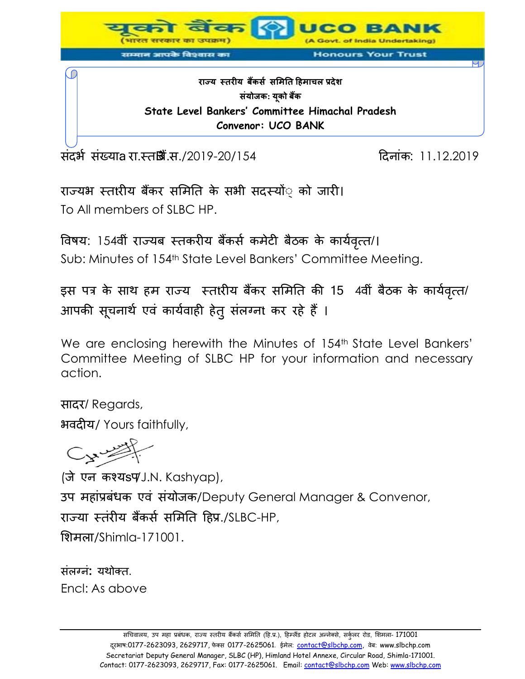

संदर्भ संख्याa रा.स्तब्रैं.स./2019-20/154 हिलांक: 11.12.2019

राज्यभ स्तारीय बैंकर समिति के सभी सदस्यों़ को जारी। To All members of SLBC HP.

विषय: 154वीं राज्यब स्तकरीय बैंकर्स कमेटी बैठक के कार्यवृत्त/।

Sub: Minutes of 154th State Level Bankers' Committee Meeting.

इस पत्र के साथ हम राज्य स्तारीय बैंकर समिति की 15 4वीं बैठक के कार्यवृत्त/ आपकी सूचनाथै एवं कार्यवाही हेतु सलग्ना कर रहे हैं ।

We are enclosing herewith the Minutes of 154<sup>th</sup> State Level Bankers' Committee Meeting of SLBC HP for your information and necessary action.

सादय/ Regards,

बवदीम/ Yours faithfully,



(जे एन कश्यsप).N. Kashyap), उप महांप्रबंधक एवं संयोजक/Deputy General Manager & Convenor, राज्या स्तंरीय बैंकर्स समिति हिप्र./SLBC-HP, मिभरा/Shimla-171001.

संरग्नं**:** मथोक्त. Encl: As above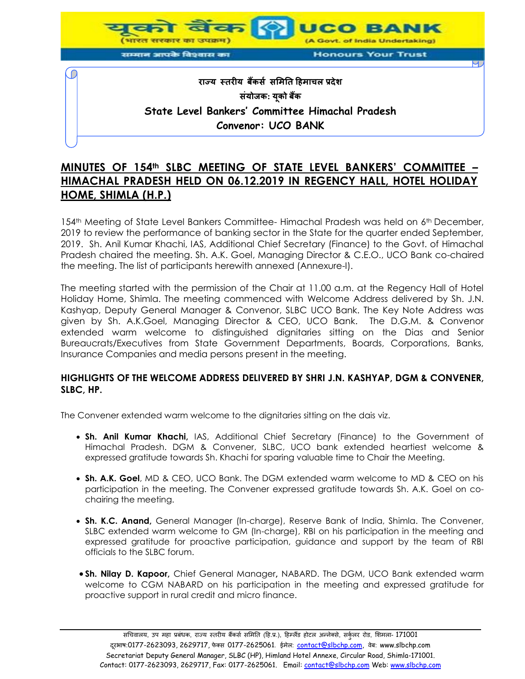

# **MINUTES OF 154th SLBC MEETING OF STATE LEVEL BANKERS' COMMITTEE – HIMACHAL PRADESH HELD ON 06.12.2019 IN REGENCY HALL, HOTEL HOLIDAY HOME, SHIMLA (H.P.)**

154<sup>th</sup> Meeting of State Level Bankers Committee- Himachal Pradesh was held on 6<sup>th</sup> December, 2019 to review the performance of banking sector in the State for the quarter ended September, 2019. Sh. Anil Kumar Khachi, IAS, Additional Chief Secretary (Finance) to the Govt. of Himachal Pradesh chaired the meeting. Sh. A.K. Goel, Managing Director & C.E.O., UCO Bank co-chaired the meeting. The list of participants herewith annexed (Annexure-I).

The meeting started with the permission of the Chair at 11.00 a.m. at the Regency Hall of Hotel Holiday Home, Shimla. The meeting commenced with Welcome Address delivered by Sh. J.N. Kashyap, Deputy General Manager & Convenor, SLBC UCO Bank. The Key Note Address was given by Sh. A.K.Goel, Managing Director & CEO, UCO Bank. The D.G.M. & Convenor extended warm welcome to distinguished dignitaries sitting on the Dias and Senior Bureaucrats/Executives from State Government Departments, Boards, Corporations, Banks, Insurance Companies and media persons present in the meeting.

#### **HIGHLIGHTS OF THE WELCOME ADDRESS DELIVERED BY SHRI J.N. KASHYAP, DGM & CONVENER, SLBC, HP.**

The Convener extended warm welcome to the dignitaries sitting on the dais viz.

- **Sh. Anil Kumar Khachi,** IAS, Additional Chief Secretary (Finance) to the Government of Himachal Pradesh. DGM & Convener, SLBC, UCO bank extended heartiest welcome & expressed gratitude towards Sh. Khachi for sparing valuable time to Chair the Meeting.
- **Sh. A.K. Goel**, MD & CEO, UCO Bank. The DGM extended warm welcome to MD & CEO on his participation in the meeting. The Convener expressed gratitude towards Sh. A.K. Goel on cochairing the meeting.
- **Sh. K.C. Anand,** General Manager (In-charge), Reserve Bank of India, Shimla. The Convener, SLBC extended warm welcome to GM (In-charge), RBI on his participation in the meeting and expressed gratitude for proactive participation, guidance and support by the team of RBI officials to the SLBC forum.
- **Sh. Nilay D. Kapoor,** Chief General Manager**,** NABARD. The DGM, UCO Bank extended warm welcome to CGM NABARD on his participation in the meeting and expressed gratitude for proactive support in rural credit and micro finance.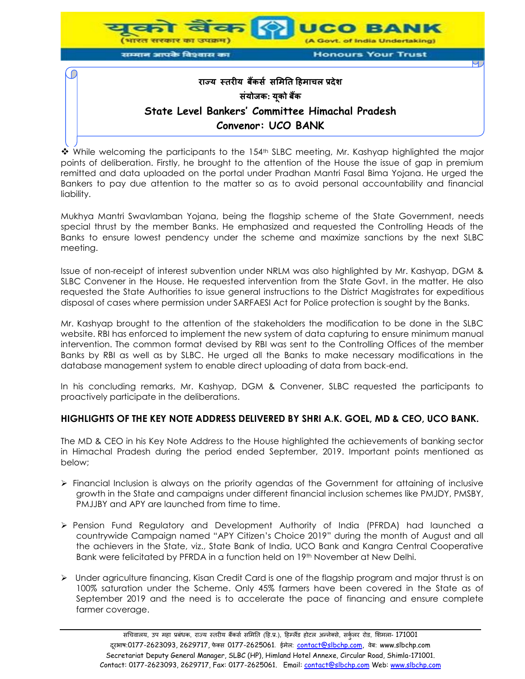

 $\cdot$  While welcoming the participants to the 154<sup>th</sup> SLBC meeting, Mr. Kashyap highlighted the major points of deliberation. Firstly, he brought to the attention of the House the issue of gap in premium remitted and data uploaded on the portal under Pradhan Mantri Fasal Bima Yojana. He urged the Bankers to pay due attention to the matter so as to avoid personal accountability and financial liability.

Mukhya Mantri Swavlamban Yojana, being the flagship scheme of the State Government, needs special thrust by the member Banks. He emphasized and requested the Controlling Heads of the Banks to ensure lowest pendency under the scheme and maximize sanctions by the next SLBC meeting.

Issue of non-receipt of interest subvention under NRLM was also highlighted by Mr. Kashyap, DGM & SLBC Convener in the House. He requested intervention from the State Govt. in the matter. He also requested the State Authorities to issue general instructions to the District Magistrates for expeditious disposal of cases where permission under SARFAESI Act for Police protection is sought by the Banks.

Mr. Kashyap brought to the attention of the stakeholders the modification to be done in the SLBC website. RBI has enforced to implement the new system of data capturing to ensure minimum manual intervention. The common format devised by RBI was sent to the Controlling Offices of the member Banks by RBI as well as by SLBC. He urged all the Banks to make necessary modifications in the database management system to enable direct uploading of data from back-end.

In his concluding remarks, Mr. Kashyap, DGM & Convener, SLBC requested the participants to proactively participate in the deliberations.

#### **HIGHLIGHTS OF THE KEY NOTE ADDRESS DELIVERED BY SHRI A.K. GOEL, MD & CEO, UCO BANK.**

The MD & CEO in his Key Note Address to the House highlighted the achievements of banking sector in Himachal Pradesh during the period ended September, 2019. Important points mentioned as below;

- $\triangleright$  Financial Inclusion is always on the priority agendas of the Government for attaining of inclusive growth in the State and campaigns under different financial inclusion schemes like PMJDY, PMSBY, PMJJBY and APY are launched from time to time.
- Pension Fund Regulatory and Development Authority of India (PFRDA) had launched a countrywide Campaign named "APY Citizen's Choice 2019" during the month of August and all the achievers in the State, viz., State Bank of India, UCO Bank and Kangra Central Cooperative Bank were felicitated by PFRDA in a function held on 19th November at New Delhi.
- Under agriculture financing, Kisan Credit Card is one of the flagship program and major thrust is on 100% saturation under the Scheme. Only 45% farmers have been covered in the State as of September 2019 and the need is to accelerate the pace of financing and ensure complete farmer coverage.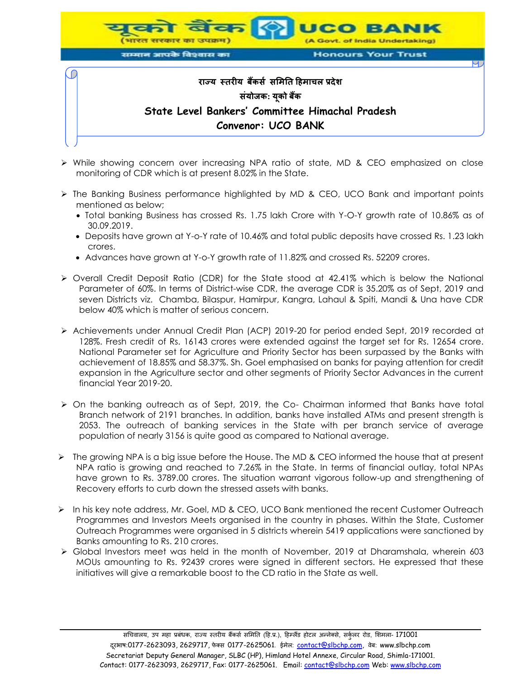

- While showing concern over increasing NPA ratio of state, MD & CEO emphasized on close monitoring of CDR which is at present 8.02% in the State.
- $\triangleright$  The Banking Business performance highlighted by MD & CEO, UCO Bank and important points mentioned as below;
	- Total banking Business has crossed Rs. 1.75 lakh Crore with Y-O-Y growth rate of 10.86% as of 30.09.2019.
	- Deposits have grown at Y-o-Y rate of 10.46% and total public deposits have crossed Rs. 1.23 lakh crores.
	- Advances have grown at Y-o-Y growth rate of 11.82% and crossed Rs. 52209 crores.
- $\triangleright$  Overall Credit Deposit Ratio (CDR) for the State stood at 42.41% which is below the National Parameter of 60%. In terms of District-wise CDR, the average CDR is 35.20% as of Sept, 2019 and seven Districts viz. Chamba, Bilaspur, Hamirpur, Kangra, Lahaul & Spiti, Mandi & Una have CDR below 40% which is matter of serious concern.
- Achievements under Annual Credit Plan (ACP) 2019-20 for period ended Sept, 2019 recorded at 128%. Fresh credit of Rs. 16143 crores were extended against the target set for Rs. 12654 crore. National Parameter set for Agriculture and Priority Sector has been surpassed by the Banks with achievement of 18.85% and 58.37%. Sh. Goel emphasised on banks for paying attention for credit expansion in the Agriculture sector and other segments of Priority Sector Advances in the current financial Year 2019-20.
- $\triangleright$  On the banking outreach as of Sept, 2019, the Co- Chairman informed that Banks have total Branch network of 2191 branches. In addition, banks have installed ATMs and present strength is 2053. The outreach of banking services in the State with per branch service of average population of nearly 3156 is quite good as compared to National average.
- > The growing NPA is a big issue before the House. The MD & CEO informed the house that at present NPA ratio is growing and reached to 7.26% in the State. In terms of financial outlay, total NPAs have grown to Rs. 3789.00 crores. The situation warrant vigorous follow-up and strengthening of Recovery efforts to curb down the stressed assets with banks.
- $\triangleright$  In his key note address, Mr. Goel, MD & CEO, UCO Bank mentioned the recent Customer Outreach Programmes and Investors Meets organised in the country in phases. Within the State, Customer Outreach Programmes were organised in 5 districts wherein 5419 applications were sanctioned by Banks amounting to Rs. 210 crores.
- Global Investors meet was held in the month of November, 2019 at Dharamshala, wherein 603 MOUs amounting to Rs. 92439 crores were signed in different sectors. He expressed that these initiatives will give a remarkable boost to the CD ratio in the State as well.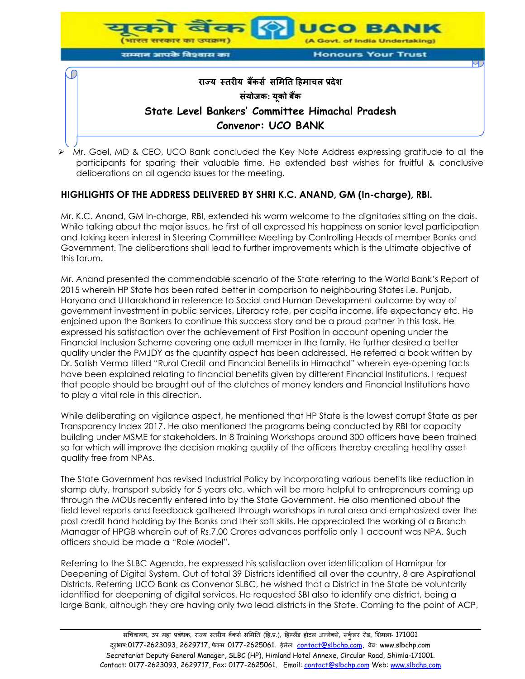

 $\triangleright$  Mr. Goel, MD & CEO, UCO Bank concluded the Key Note Address expressing gratitude to all the participants for sparing their valuable time. He extended best wishes for fruitful & conclusive deliberations on all agenda issues for the meeting.

#### **HIGHLIGHTS OF THE ADDRESS DELIVERED BY SHRI K.C. ANAND, GM (In-charge), RBI.**

Mr. K.C. Anand, GM In-charge, RBI, extended his warm welcome to the dignitaries sitting on the dais. While talking about the major issues, he first of all expressed his happiness on senior level participation and taking keen interest in Steering Committee Meeting by Controlling Heads of member Banks and Government. The deliberations shall lead to further improvements which is the ultimate objective of this forum.

Mr. Anand presented the commendable scenario of the State referring to the World Bank's Report of 2015 wherein HP State has been rated better in comparison to neighbouring States i.e. Punjab, Haryana and Uttarakhand in reference to Social and Human Development outcome by way of government investment in public services, Literacy rate, per capita income, life expectancy etc. He enjoined upon the Bankers to continue this success story and be a proud partner in this task. He expressed his satisfaction over the achievement of First Position in account opening under the Financial Inclusion Scheme covering one adult member in the family. He further desired a better quality under the PMJDY as the quantity aspect has been addressed. He referred a book written by Dr. Satish Verma titled "Rural Credit and Financial Benefits in Himachal" wherein eye-opening facts have been explained relating to financial benefits given by different Financial Institutions. I request that people should be brought out of the clutches of money lenders and Financial Institutions have to play a vital role in this direction.

While deliberating on vigilance aspect, he mentioned that HP State is the lowest corrupt State as per Transparency Index 2017. He also mentioned the programs being conducted by RBI for capacity building under MSME for stakeholders. In 8 Training Workshops around 300 officers have been trained so far which will improve the decision making quality of the officers thereby creating healthy asset quality free from NPAs.

The State Government has revised Industrial Policy by incorporating various benefits like reduction in stamp duty, transport subsidy for 5 years etc. which will be more helpful to entrepreneurs coming up through the MOUs recently entered into by the State Government. He also mentioned about the field level reports and feedback gathered through workshops in rural area and emphasized over the post credit hand holding by the Banks and their soft skills. He appreciated the working of a Branch Manager of HPGB wherein out of Rs.7.00 Crores advances portfolio only 1 account was NPA. Such officers should be made a "Role Model".

Referring to the SLBC Agenda, he expressed his satisfaction over identification of Hamirpur for Deepening of Digital System. Out of total 39 Districts identified all over the country, 8 are Aspirational Districts. Referring UCO Bank as Convenor SLBC, he wished that a District in the State be voluntarily identified for deepening of digital services. He requested SBI also to identify one district, being a large Bank, although they are having only two lead districts in the State. Coming to the point of ACP,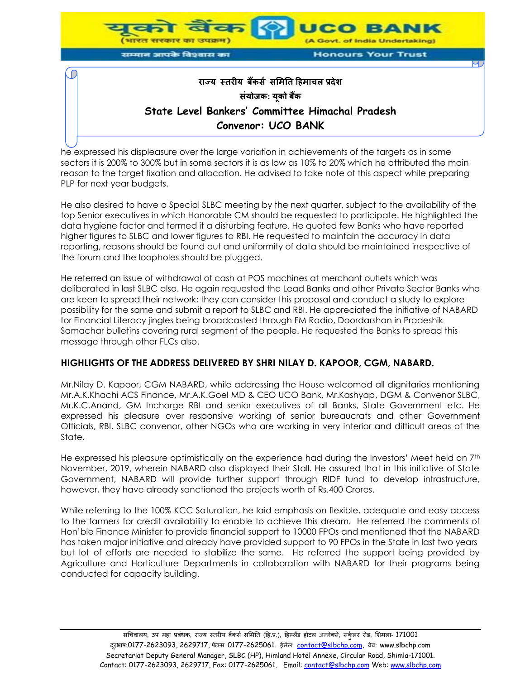

he expressed his displeasure over the large variation in achievements of the targets as in some sectors it is 200% to 300% but in some sectors it is as low as 10% to 20% which he attributed the main reason to the target fixation and allocation. He advised to take note of this aspect while preparing PLP for next year budgets.

He also desired to have a Special SLBC meeting by the next quarter, subject to the availability of the top Senior executives in which Honorable CM should be requested to participate. He highlighted the data hygiene factor and termed it a disturbing feature. He quoted few Banks who have reported higher figures to SLBC and lower figures to RBI. He requested to maintain the accuracy in data reporting, reasons should be found out and uniformity of data should be maintained irrespective of the forum and the loopholes should be plugged.

He referred an issue of withdrawal of cash at POS machines at merchant outlets which was deliberated in last SLBC also. He again requested the Lead Banks and other Private Sector Banks who are keen to spread their network; they can consider this proposal and conduct a study to explore possibility for the same and submit a report to SLBC and RBI. He appreciated the initiative of NABARD for Financial Literacy jingles being broadcasted through FM Radio, Doordarshan in Pradeshik Samachar bulletins covering rural segment of the people. He requested the Banks to spread this message through other FLCs also.

### **HIGHLIGHTS OF THE ADDRESS DELIVERED BY SHRI NILAY D. KAPOOR, CGM, NABARD.**

Mr.Nilay D. Kapoor, CGM NABARD, while addressing the House welcomed all dignitaries mentioning Mr.A.K.Khachi ACS Finance, Mr.A.K.Goel MD & CEO UCO Bank, Mr.Kashyap, DGM & Convenor SLBC, Mr.K.C.Anand, GM Incharge RBI and senior executives of all Banks, State Government etc. He expressed his pleasure over responsive working of senior bureaucrats and other Government Officials, RBI, SLBC convenor, other NGOs who are working in very interior and difficult areas of the State.

He expressed his pleasure optimistically on the experience had during the Investors' Meet held on 7<sup>th</sup> November, 2019, wherein NABARD also displayed their Stall. He assured that in this initiative of State Government, NABARD will provide further support through RIDF fund to develop infrastructure, however, they have already sanctioned the projects worth of Rs.400 Crores.

While referring to the 100% KCC Saturation, he laid emphasis on flexible, adequate and easy access to the farmers for credit availability to enable to achieve this dream. He referred the comments of Hon'ble Finance Minister to provide financial support to 10000 FPOs and mentioned that the NABARD has taken major initiative and already have provided support to 90 FPOs in the State in last two years but lot of efforts are needed to stabilize the same. He referred the support being provided by Agriculture and Horticulture Departments in collaboration with NABARD for their programs being conducted for capacity building.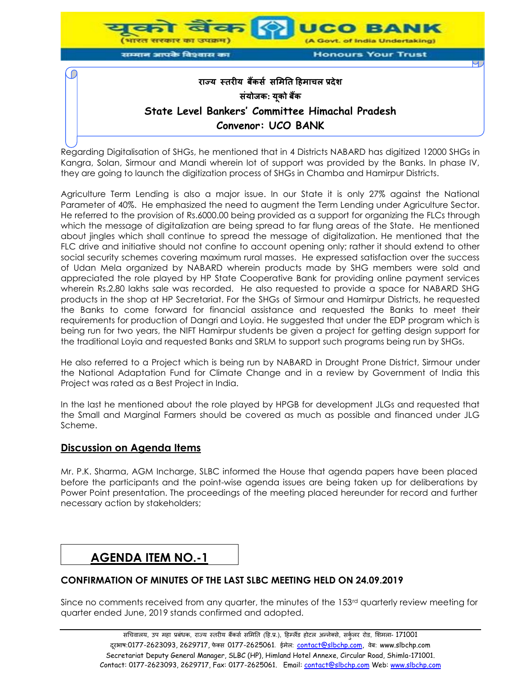

Regarding Digitalisation of SHGs, he mentioned that in 4 Districts NABARD has digitized 12000 SHGs in Kangra, Solan, Sirmour and Mandi wherein lot of support was provided by the Banks. In phase IV, they are going to launch the digitization process of SHGs in Chamba and Hamirpur Districts.

Agriculture Term Lending is also a major issue. In our State it is only 27% against the National Parameter of 40%. He emphasized the need to augment the Term Lending under Agriculture Sector. He referred to the provision of Rs.6000.00 being provided as a support for organizing the FLCs through which the message of digitalization are being spread to far flung areas of the State. He mentioned about jingles which shall continue to spread the message of digitalization. He mentioned that the FLC drive and initiative should not confine to account opening only; rather it should extend to other social security schemes covering maximum rural masses. He expressed satisfaction over the success of Udan Mela organized by NABARD wherein products made by SHG members were sold and appreciated the role played by HP State Cooperative Bank for providing online payment services wherein Rs.2.80 lakhs sale was recorded. He also requested to provide a space for NABARD SHG products in the shop at HP Secretariat. For the SHGs of Sirmour and Hamirpur Districts, he requested the Banks to come forward for financial assistance and requested the Banks to meet their requirements for production of Dangri and Loyia. He suggested that under the EDP program which is being run for two years, the NIFT Hamirpur students be given a project for getting design support for the traditional Loyia and requested Banks and SRLM to support such programs being run by SHGs.

He also referred to a Project which is being run by NABARD in Drought Prone District, Sirmour under the National Adaptation Fund for Climate Change and in a review by Government of India this Project was rated as a Best Project in India.

In the last he mentioned about the role played by HPGB for development JLGs and requested that the Small and Marginal Farmers should be covered as much as possible and financed under JLG Scheme.

#### **Discussion on Agenda Items**

Mr. P.K. Sharma, AGM Incharge, SLBC informed the House that agenda papers have been placed before the participants and the point-wise agenda issues are being taken up for deliberations by Power Point presentation. The proceedings of the meeting placed hereunder for record and further necessary action by stakeholders;

# **AGENDA ITEM NO.-1**

#### **CONFIRMATION OF MINUTES OF THE LAST SLBC MEETING HELD ON 24.09.2019**

Since no comments received from any quarter, the minutes of the  $153<sup>rd</sup>$  quarterly review meeting for quarter ended June, 2019 stands confirmed and adopted.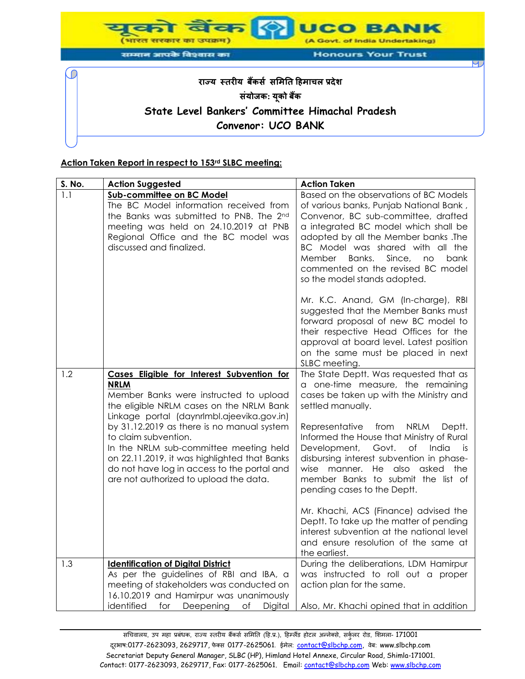**UCO BANK** (A Govt. of India Undertaking)

(भारत सरकार का उपक्रम) सम्मान आपके विश्वास का

C

**Honours Your Trust** 

#### ч

# **राज्य स्तरीय बैंकर्स र्मितत हििाचऱ प्रदेश र्ंयोजक: यूको बैंक State Level Bankers' Committee Himachal Pradesh Convenor: UCO BANK**

#### **Action Taken Report in respect to 153rd SLBC meeting:**

| S. No. | <b>Action Suggested</b>                                                                                                                                                                                                                                                                                                                                                                                                                                | <b>Action Taken</b>                                                                                                                                                                                                                                                                                                                                                                                                                                                                                                                                                                                                                             |
|--------|--------------------------------------------------------------------------------------------------------------------------------------------------------------------------------------------------------------------------------------------------------------------------------------------------------------------------------------------------------------------------------------------------------------------------------------------------------|-------------------------------------------------------------------------------------------------------------------------------------------------------------------------------------------------------------------------------------------------------------------------------------------------------------------------------------------------------------------------------------------------------------------------------------------------------------------------------------------------------------------------------------------------------------------------------------------------------------------------------------------------|
| 1.1    | Sub-committee on BC Model<br>The BC Model information received from<br>the Banks was submitted to PNB. The 2nd<br>meeting was held on 24.10.2019 at PNB<br>Regional Office and the BC model was<br>discussed and finalized.                                                                                                                                                                                                                            | Based on the observations of BC Models<br>of various banks, Punjab National Bank,<br>Convenor, BC sub-committee, drafted<br>a integrated BC model which shall be<br>adopted by all the Member banks. The<br>BC Model was shared with all the<br>Banks.<br>Since,<br>Member<br>bank<br>no<br>commented on the revised BC model<br>so the model stands adopted.<br>Mr. K.C. Anand, GM (In-charge), RBI<br>suggested that the Member Banks must<br>forward proposal of new BC model to<br>their respective Head Offices for the<br>approval at board level. Latest position<br>on the same must be placed in next<br>SLBC meeting.                 |
| 1.2    | Cases Eligible for Interest Subvention for<br><b>NRLM</b><br>Member Banks were instructed to upload<br>the eligible NRLM cases on the NRLM Bank<br>Linkage portal (daynrlmbl.ajeevika.gov.in)<br>by 31.12.2019 as there is no manual system<br>to claim subvention.<br>In the NRLM sub-committee meeting held<br>on 22.11.2019, it was highlighted that Banks<br>do not have log in access to the portal and<br>are not authorized to upload the data. | The State Deptt. Was requested that as<br>a one-time measure, the remaining<br>cases be taken up with the Ministry and<br>settled manually.<br>Representative<br>from<br><b>NRLM</b><br>Deptt.<br>Informed the House that Ministry of Rural<br>Development,<br>Govt.<br>of<br>India<br>is is<br>disbursing interest subvention in phase-<br>He also<br>asked the<br>wise manner.<br>member Banks to submit the list of<br>pending cases to the Deptt.<br>Mr. Khachi, ACS (Finance) advised the<br>Deptt. To take up the matter of pending<br>interest subvention at the national level<br>and ensure resolution of the same at<br>the earliest. |
| 1.3    | <b>Identification of Digital District</b>                                                                                                                                                                                                                                                                                                                                                                                                              | During the deliberations, LDM Hamirpur                                                                                                                                                                                                                                                                                                                                                                                                                                                                                                                                                                                                          |
|        | As per the guidelines of RBI and IBA, a                                                                                                                                                                                                                                                                                                                                                                                                                | was instructed to roll out a proper                                                                                                                                                                                                                                                                                                                                                                                                                                                                                                                                                                                                             |
|        | meeting of stakeholders was conducted on<br>16.10.2019 and Hamirpur was unanimously                                                                                                                                                                                                                                                                                                                                                                    | action plan for the same.                                                                                                                                                                                                                                                                                                                                                                                                                                                                                                                                                                                                                       |
|        | identified<br>for<br>Deepening<br>оf<br>Digital                                                                                                                                                                                                                                                                                                                                                                                                        | Also, Mr. Khachi opined that in addition                                                                                                                                                                                                                                                                                                                                                                                                                                                                                                                                                                                                        |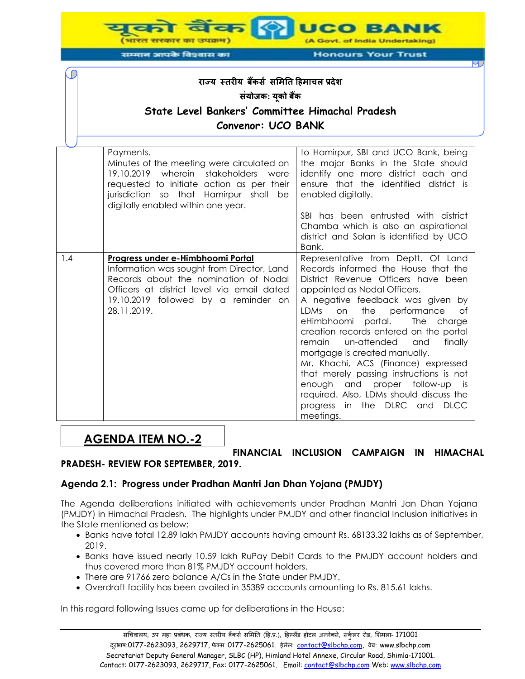(A Govt. of India Undertaking)

**JCO BANK** 

**Honours Your Trust** 

# **राज्य स्तरीय बैंकर्स र्मितत हििाचऱ प्रदेश र्ंयोजक: यूको बैंक State Level Bankers' Committee Himachal Pradesh Convenor: UCO BANK**

|     | Payments.<br>Minutes of the meeting were circulated on<br>19.10.2019 wherein stakeholders were<br>requested to initiate action as per their<br>jurisdiction so that Hamirpur shall be<br>digitally enabled within one year.   | to Hamirpur, SBI and UCO Bank, being<br>the major Banks in the State should<br>identify one more district each and<br>ensure that the identified district is<br>enabled digitally.                                                                                                                                                                                                                                                                                                                                                                                                                          |
|-----|-------------------------------------------------------------------------------------------------------------------------------------------------------------------------------------------------------------------------------|-------------------------------------------------------------------------------------------------------------------------------------------------------------------------------------------------------------------------------------------------------------------------------------------------------------------------------------------------------------------------------------------------------------------------------------------------------------------------------------------------------------------------------------------------------------------------------------------------------------|
|     |                                                                                                                                                                                                                               | SBI has been entrusted with district<br>Chamba which is also an aspirational<br>district and Solan is identified by UCO<br>Bank.                                                                                                                                                                                                                                                                                                                                                                                                                                                                            |
| 1.4 | Progress under e-Himbhoomi Portal<br>Information was sought from Director, Land<br>Records about the nomination of Nodal<br>Officers at district level via email dated<br>19.10.2019 followed by a reminder on<br>28.11.2019. | Representative from Deptt. Of Land<br>Records informed the House that the<br>District Revenue Officers have been<br>appointed as Nodal Officers.<br>A negative feedback was given by<br>LDMs<br>the<br>performance<br>of<br>on<br>eHimbhoomi portal.<br>The charge<br>creation records entered on the portal<br>remain<br>un-attended<br>and<br>finally<br>mortgage is created manually.<br>Mr. Khachi, ACS (Finance) expressed<br>that merely passing instructions is not<br>enough and proper follow-up<br>is is<br>required. Also, LDMs should discuss the<br>progress in the DLRC and DLCC<br>meetings. |

# **AGENDA ITEM NO.-2**

**FINANCIAL INCLUSION CAMPAIGN IN HIMACHAL** 

# **PRADESH- REVIEW FOR SEPTEMBER, 2019.**

# **Agenda 2.1: Progress under Pradhan Mantri Jan Dhan Yojana (PMJDY)**

The Agenda deliberations initiated with achievements under Pradhan Mantri Jan Dhan Yojana (PMJDY) in Himachal Pradesh. The highlights under PMJDY and other financial Inclusion initiatives in the State mentioned as below:

- Banks have total 12.89 lakh PMJDY accounts having amount Rs. 68133.32 lakhs as of September, 2019.
- Banks have issued nearly 10.59 lakh RuPay Debit Cards to the PMJDY account holders and thus covered more than 81% PMJDY account holders.
- There are 91766 zero balance A/Cs in the State under PMJDY.
- Overdraft facility has been availed in 35389 accounts amounting to Rs. 815.61 lakhs.

In this regard following Issues came up for deliberations in the House: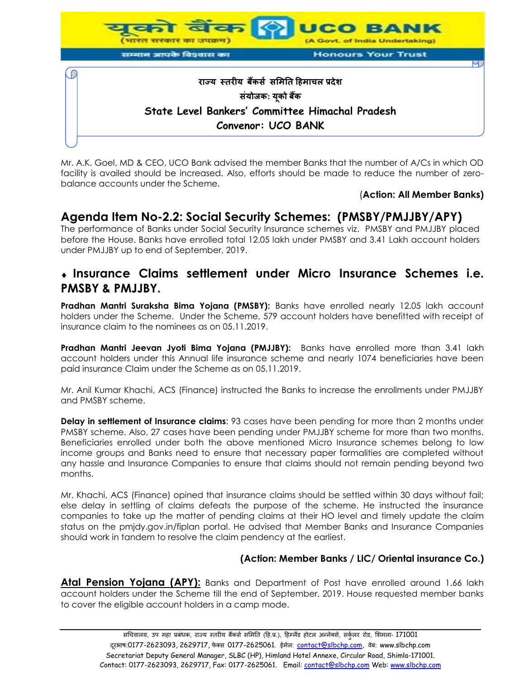

Mr. A.K. Goel, MD & CEO, UCO Bank advised the member Banks that the number of A/Cs in which OD facility is availed should be increased. Also, efforts should be made to reduce the number of zerobalance accounts under the Scheme.

### (**Action: All Member Banks)**

# **Agenda Item No-2.2: Social Security Schemes: (PMSBY/PMJJBY/APY)**

The performance of Banks under Social Security Insurance schemes viz. PMSBY and PMJJBY placed before the House. Banks have enrolled total 12.05 lakh under PMSBY and 3.41 Lakh account holders under PMJJBY up to end of September, 2019.

# **Insurance Claims settlement under Micro Insurance Schemes i.e. PMSBY & PMJJBY.**

**Pradhan Mantri Suraksha Bima Yojana (PMSBY):** Banks have enrolled nearly 12.05 lakh account holders under the Scheme. Under the Scheme, 579 account holders have benefitted with receipt of insurance claim to the nominees as on 05.11.2019.

**Pradhan Mantri Jeevan Jyoti Bima Yojana (PMJJBY):** Banks have enrolled more than 3.41 lakh account holders under this Annual life insurance scheme and nearly 1074 beneficiaries have been paid insurance Claim under the Scheme as on 05.11.2019.

Mr. Anil Kumar Khachi, ACS (Finance) instructed the Banks to increase the enrollments under PMJJBY and PMSBY scheme.

**Delay in settlement of Insurance claims**: 93 cases have been pending for more than 2 months under PMSBY scheme. Also, 27 cases have been pending under PMJJBY scheme for more than two months. Beneficiaries enrolled under both the above mentioned Micro Insurance schemes belong to low income groups and Banks need to ensure that necessary paper formalities are completed without any hassle and Insurance Companies to ensure that claims should not remain pending beyond two months.

Mr. Khachi, ACS (Finance) opined that insurance claims should be settled within 30 days without fail; else delay in settling of claims defeats the purpose of the scheme. He instructed the insurance companies to take up the matter of pending claims at their HO level and timely update the claim status on the pmjdy.gov.in/fiplan portal. He advised that Member Banks and Insurance Companies should work in tandem to resolve the claim pendency at the earliest.

### **(Action: Member Banks / LIC/ Oriental insurance Co.)**

Atal Pension Yojana (APY): Banks and Department of Post have enrolled around 1.66 lakh account holders under the Scheme till the end of September, 2019. House requested member banks to cover the eligible account holders in a camp mode.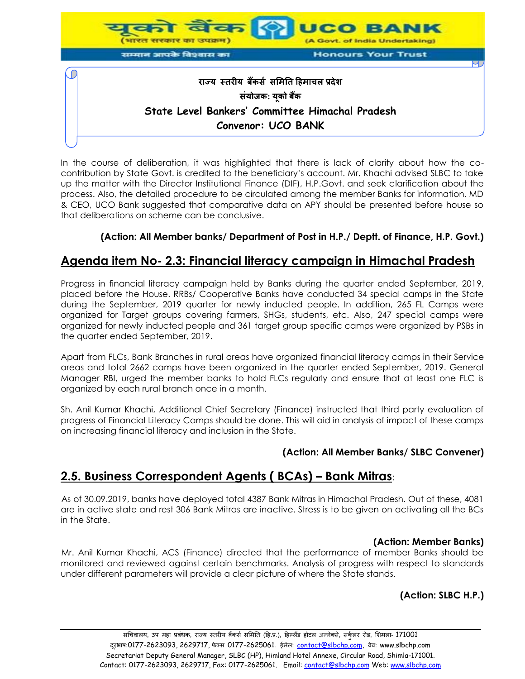

In the course of deliberation, it was highlighted that there is lack of clarity about how the cocontribution by State Govt. is credited to the beneficiary's account. Mr. Khachi advised SLBC to take up the matter with the Director Institutional Finance (DIF), H.P.Govt. and seek clarification about the process. Also, the detailed procedure to be circulated among the member Banks for information. MD & CEO, UCO Bank suggested that comparative data on APY should be presented before house so that deliberations on scheme can be conclusive.

## **(Action: All Member banks/ Department of Post in H.P./ Deptt. of Finance, H.P. Govt.)**

# **Agenda item No- 2.3: Financial literacy campaign in Himachal Pradesh**

Progress in financial literacy campaign held by Banks during the quarter ended September, 2019, placed before the House. RRBs/ Cooperative Banks have conducted 34 special camps in the State during the September, 2019 quarter for newly inducted people. In addition, 265 FL Camps were organized for Target groups covering farmers, SHGs, students, etc. Also, 247 special camps were organized for newly inducted people and 361 target group specific camps were organized by PSBs in the quarter ended September, 2019.

Apart from FLCs, Bank Branches in rural areas have organized financial literacy camps in their Service areas and total 2662 camps have been organized in the quarter ended September, 2019. General Manager RBI, urged the member banks to hold FLCs regularly and ensure that at least one FLC is organized by each rural branch once in a month.

Sh. Anil Kumar Khachi, Additional Chief Secretary (Finance) instructed that third party evaluation of progress of Financial Literacy Camps should be done. This will aid in analysis of impact of these camps on increasing financial literacy and inclusion in the State.

#### **(Action: All Member Banks/ SLBC Convener)**

# **2.5. Business Correspondent Agents ( BCAs) – Bank Mitras**:

As of 30.09.2019, banks have deployed total 4387 Bank Mitras in Himachal Pradesh. Out of these, 4081 are in active state and rest 306 Bank Mitras are inactive. Stress is to be given on activating all the BCs in the State.

#### **(Action: Member Banks)**

Mr. Anil Kumar Khachi, ACS (Finance) directed that the performance of member Banks should be monitored and reviewed against certain benchmarks. Analysis of progress with respect to standards under different parameters will provide a clear picture of where the State stands.

#### **(Action: SLBC H.P.)**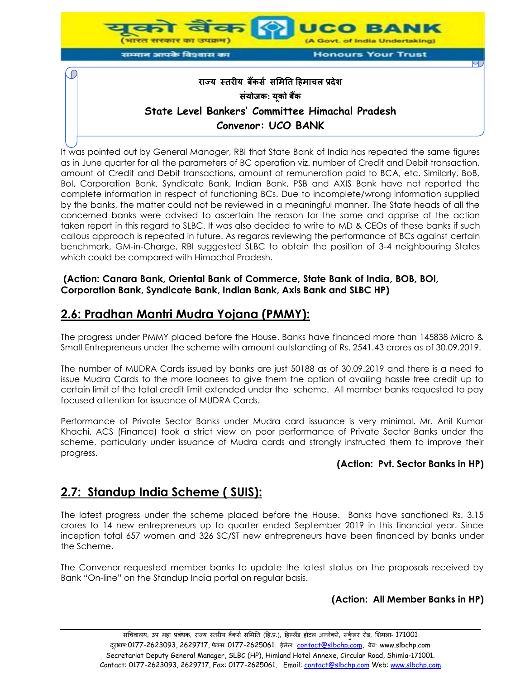

**Convenor: UCO BANK**

It was pointed out by General Manager, RBI that State Bank of India has repeated the same figures as in June quarter for all the parameters of BC operation viz. number of Credit and Debit transaction, amount of Credit and Debit transactions, amount of remuneration paid to BCA, etc. Similarly, BoB, BoI, Corporation Bank, Syndicate Bank, Indian Bank, PSB and AXIS Bank have not reported the complete information in respect of functioning BCs. Due to incomplete/wrong information supplied by the banks, the matter could not be reviewed in a meaningful manner. The State heads of all the concerned banks were advised to ascertain the reason for the same and apprise of the action taken report in this regard to SLBC. It was also decided to write to MD & CEOs of these banks if such callous approach is repeated in future. As regards reviewing the performance of BCs against certain benchmark, GM-in-Charge, RBI suggested SLBC to obtain the position of 3-4 neighbouring States which could be compared with Himachal Pradesh.

#### **(Action: Canara Bank, Oriental Bank of Commerce, State Bank of India, BOB, BOI, Corporation Bank, Syndicate Bank, Indian Bank, Axis Bank and SLBC HP)**

# **2.6: Pradhan Mantri Mudra Yojana (PMMY):**

The progress under PMMY placed before the House. Banks have financed more than 145838 Micro & Small Entrepreneurs under the scheme with amount outstanding of Rs. 2541.43 crores as of 30.09.2019.

The number of MUDRA Cards issued by banks are just 50188 as of 30.09.2019 and there is a need to issue Mudra Cards to the more loanees to give them the option of availing hassle free credit up to certain limit of the total credit limit extended under the scheme. All member banks requested to pay focused attention for issuance of MUDRA Cards.

Performance of Private Sector Banks under Mudra card issuance is very minimal. Mr. Anil Kumar Khachi, ACS (Finance) took a strict view on poor performance of Private Sector Banks under the scheme, particularly under issuance of Mudra cards and strongly instructed them to improve their progress.

### **(Action: Pvt. Sector Banks in HP)**

# **2.7: Standup India Scheme ( SUIS):**

The latest progress under the scheme placed before the House. Banks have sanctioned Rs. 3.15 crores to 14 new entrepreneurs up to quarter ended September 2019 in this financial year. Since inception total 657 women and 326 SC/ST new entrepreneurs have been financed by banks under the Scheme.

The Convenor requested member banks to update the latest status on the proposals received by Bank "On-line" on the Standup India portal on regular basis.

### **(Action: All Member Banks in HP)**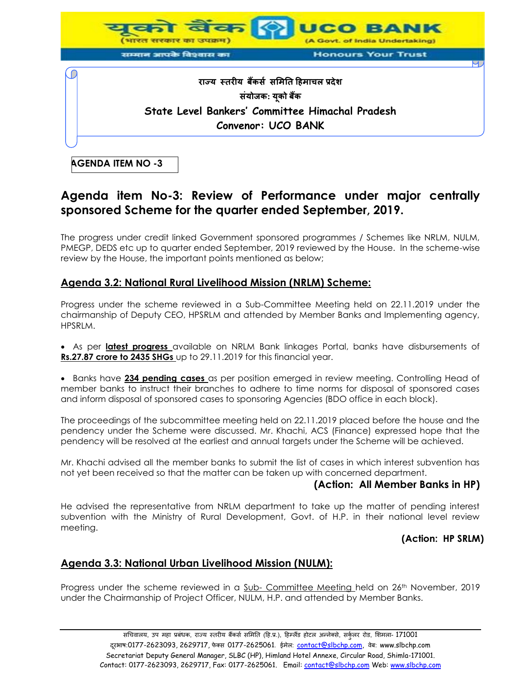

**Agenda item No-3: Review of Performance under major centrally** 

**sponsored Scheme for the quarter ended September, 2019.**

The progress under credit linked Government sponsored programmes / Schemes like NRLM, NULM, PMEGP, DEDS etc up to quarter ended September, 2019 reviewed by the House. In the scheme-wise review by the House, the important points mentioned as below;

## **Agenda 3.2: National Rural Livelihood Mission (NRLM) Scheme:**

Progress under the scheme reviewed in a Sub-Committee Meeting held on 22.11.2019 under the chairmanship of Deputy CEO, HPSRLM and attended by Member Banks and Implementing agency, HPSRLM.

 As per **latest progress** available on NRLM Bank linkages Portal, banks have disbursements of **Rs.27.87 crore to 2435 SHGs** up to 29.11.2019 for this financial year.

**Banks have 234 pending cases** as per position emerged in review meeting. Controlling Head of member banks to instruct their branches to adhere to time norms for disposal of sponsored cases and inform disposal of sponsored cases to sponsoring Agencies (BDO office in each block).

The proceedings of the subcommittee meeting held on 22.11.2019 placed before the house and the pendency under the Scheme were discussed. Mr. Khachi, ACS (Finance) expressed hope that the pendency will be resolved at the earliest and annual targets under the Scheme will be achieved.

Mr. Khachi advised all the member banks to submit the list of cases in which interest subvention has not yet been received so that the matter can be taken up with concerned department.

### **(Action: All Member Banks in HP)**

He advised the representative from NRLM department to take up the matter of pending interest subvention with the Ministry of Rural Development, Govt. of H.P. in their national level review meeting.

#### **(Action: HP SRLM)**

### **Agenda 3.3: National Urban Livelihood Mission (NULM):**

Progress under the scheme reviewed in a Sub- Committee Meeting held on 26<sup>th</sup> November, 2019 under the Chairmanship of Project Officer, NULM, H.P. and attended by Member Banks.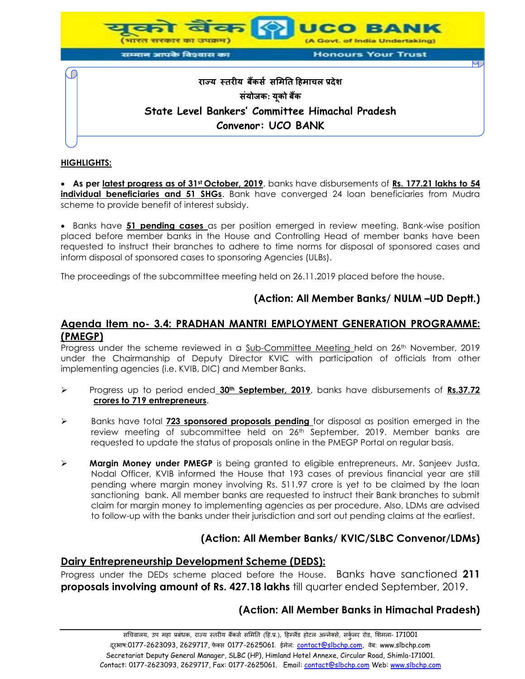

#### **HIGHLIGHTS:**

**As per latest progress as of 31<sup>st</sup> October, 2019**, banks have disbursements of Rs. 177.21 lakhs to 54 **individual beneficiaries and 51 SHGs**. Bank have converged 24 loan beneficiaries from Mudra scheme to provide benefit of interest subsidy.

 Banks have **51 pending cases** as per position emerged in review meeting. Bank-wise position placed before member banks in the House and Controlling Head of member banks have been requested to instruct their branches to adhere to time norms for disposal of sponsored cases and inform disposal of sponsored cases to sponsoring Agencies (ULBs).

The proceedings of the subcommittee meeting held on 26.11.2019 placed before the house.

## **(Action: All Member Banks/ NULM –UD Deptt.)**

### **Agenda Item no- 3.4: PRADHAN MANTRI EMPLOYMENT GENERATION PROGRAMME: (PMEGP)**

Progress under the scheme reviewed in a Sub-Committee Meeting held on 26<sup>th</sup> November, 2019 under the Chairmanship of Deputy Director KVIC with participation of officials from other implementing agencies (i.e. KVIB, DIC) and Member Banks.

- Progress up to period ended **30th September, 2019**, banks have disbursements of **Rs.37.72 crores to 719 entrepreneurs**.
- Banks have total **723 sponsored proposals pending** for disposal as position emerged in the review meeting of subcommittee held on 26<sup>th</sup> September, 2019. Member banks are requested to update the status of proposals online in the PMEGP Portal on regular basis.
- **Margin Money under PMEGP** is being granted to eligible entrepreneurs. Mr. Sanjeev Justa, Nodal Officer, KVIB informed the House that 193 cases of previous financial year are still pending where margin money involving Rs. 511.97 crore is yet to be claimed by the loan sanctioning bank. All member banks are requested to instruct their Bank branches to submit claim for margin money to implementing agencies as per procedure. Also, LDMs are advised to follow-up with the banks under their jurisdiction and sort out pending claims at the earliest.

### **(Action: All Member Banks/ KVIC/SLBC Convenor/LDMs)**

### **Dairy Entrepreneurship Development Scheme (DEDS):**

Progress under the DEDs scheme placed before the House. Banks have sanctioned **211 proposals involving amount of Rs. 427.18 lakhs** till quarter ended September, 2019.

## **(Action: All Member Banks in Himachal Pradesh)**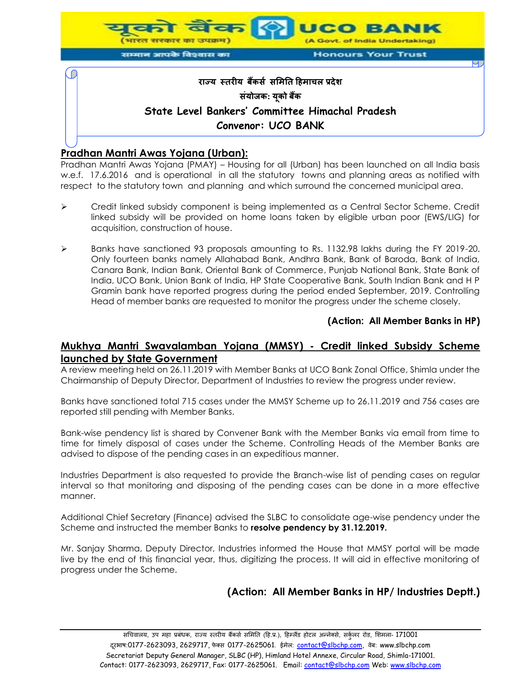

# **राज्य स्तरीय बैंकर्स र्मितत हििाचऱ प्रदेश र्ंयोजक: यूको बैंक State Level Bankers' Committee Himachal Pradesh Convenor: UCO BANK**

## **Pradhan Mantri Awas Yojana (Urban):**

Pradhan Mantri Awas Yojana (PMAY) – Housing for all (Urban) has been launched on all India basis w.e.f. 17.6.2016 and is operational in all the statutory towns and planning areas as notified with respect to the statutory town and planning and which surround the concerned municipal area.

- Credit linked subsidy component is being implemented as a Central Sector Scheme. Credit linked subsidy will be provided on home loans taken by eligible urban poor (EWS/LIG) for acquisition, construction of house.
- $\triangleright$  Banks have sanctioned 93 proposals amounting to Rs. 1132.98 lakhs during the FY 2019-20. Only fourteen banks namely Allahabad Bank, Andhra Bank, Bank of Baroda, Bank of India, Canara Bank, Indian Bank, Oriental Bank of Commerce, Punjab National Bank, State Bank of India, UCO Bank, Union Bank of India, HP State Cooperative Bank, South Indian Bank and H P Gramin bank have reported progress during the period ended September, 2019. Controlling Head of member banks are requested to monitor the progress under the scheme closely.

## **(Action: All Member Banks in HP)**

### **Mukhya Mantri Swavalamban Yojana (MMSY) - Credit linked Subsidy Scheme launched by State Government**

A review meeting held on 26.11.2019 with Member Banks at UCO Bank Zonal Office, Shimla under the Chairmanship of Deputy Director, Department of Industries to review the progress under review.

Banks have sanctioned total 715 cases under the MMSY Scheme up to 26.11.2019 and 756 cases are reported still pending with Member Banks.

Bank-wise pendency list is shared by Convener Bank with the Member Banks via email from time to time for timely disposal of cases under the Scheme. Controlling Heads of the Member Banks are advised to dispose of the pending cases in an expeditious manner.

Industries Department is also requested to provide the Branch-wise list of pending cases on regular interval so that monitoring and disposing of the pending cases can be done in a more effective manner.

Additional Chief Secretary (Finance) advised the SLBC to consolidate age-wise pendency under the Scheme and instructed the member Banks to **resolve pendency by 31.12.2019.** 

Mr. Sanjay Sharma, Deputy Director, Industries informed the House that MMSY portal will be made live by the end of this financial year, thus, digitizing the process. It will aid in effective monitoring of progress under the Scheme.

# **(Action: All Member Banks in HP/ Industries Deptt.)**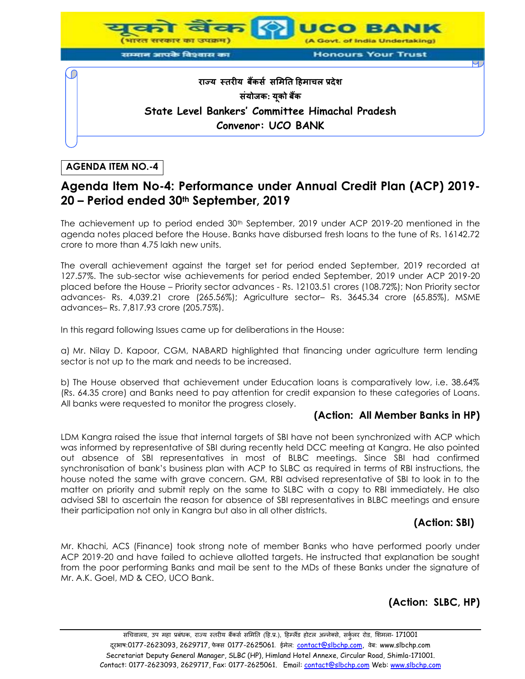

## **AGENDA ITEM NO.-4**

# **Agenda Item No-4: Performance under Annual Credit Plan (ACP) 2019- 20 – Period ended 30th September, 2019**

The achievement up to period ended  $30<sup>th</sup>$  September, 2019 under ACP 2019-20 mentioned in the agenda notes placed before the House. Banks have disbursed fresh loans to the tune of Rs. 16142.72 crore to more than 4.75 lakh new units.

The overall achievement against the target set for period ended September, 2019 recorded at 127.57%. The sub-sector wise achievements for period ended September, 2019 under ACP 2019-20 placed before the House – Priority sector advances - Rs. 12103.51 crores (108.72%); Non Priority sector advances- Rs. 4,039.21 crore (265.56%); Agriculture sector– Rs. 3645.34 crore (65.85%), MSME advances– Rs. 7,817.93 crore (205.75%).

In this regard following Issues came up for deliberations in the House:

a) Mr. Nilay D. Kapoor, CGM, NABARD highlighted that financing under agriculture term lending sector is not up to the mark and needs to be increased.

b) The House observed that achievement under Education loans is comparatively low, i.e. 38.64% (Rs. 64.35 crore) and Banks need to pay attention for credit expansion to these categories of Loans. All banks were requested to monitor the progress closely.

### **(Action: All Member Banks in HP)**

LDM Kangra raised the issue that internal targets of SBI have not been synchronized with ACP which was informed by representative of SBI during recently held DCC meeting at Kangra. He also pointed out absence of SBI representatives in most of BLBC meetings. Since SBI had confirmed synchronisation of bank's business plan with ACP to SLBC as required in terms of RBI instructions, the house noted the same with grave concern. GM, RBI advised representative of SBI to look in to the matter on priority and submit reply on the same to SLBC with a copy to RBI immediately. He also advised SBI to ascertain the reason for absence of SBI representatives in BLBC meetings and ensure their participation not only in Kangra but also in all other districts.

## **(Action: SBI)**

Mr. Khachi, ACS (Finance) took strong note of member Banks who have performed poorly under ACP 2019-20 and have failed to achieve allotted targets. He instructed that explanation be sought from the poor performing Banks and mail be sent to the MDs of these Banks under the signature of Mr. A.K. Goel, MD & CEO, UCO Bank.

**(Action: SLBC, HP)**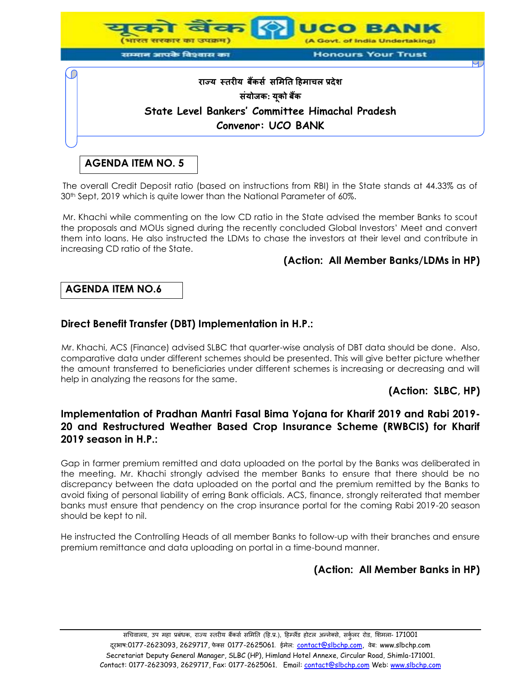

## **AGENDA ITEM NO. 5**

The overall Credit Deposit ratio (based on instructions from RBI) in the State stands at 44.33% as of 30th Sept, 2019 which is quite lower than the National Parameter of 60%.

Mr. Khachi while commenting on the low CD ratio in the State advised the member Banks to scout the proposals and MOUs signed during the recently concluded Global Investors' Meet and convert them into loans. He also instructed the LDMs to chase the investors at their level and contribute in increasing CD ratio of the State.

### **(Action: All Member Banks/LDMs in HP)**

### **AGENDA ITEM NO.6**

#### **Direct Benefit Transfer (DBT) Implementation in H.P.:**

Mr. Khachi, ACS (Finance) advised SLBC that quarter-wise analysis of DBT data should be done. Also, comparative data under different schemes should be presented. This will give better picture whether the amount transferred to beneficiaries under different schemes is increasing or decreasing and will help in analyzing the reasons for the same.

### **(Action: SLBC, HP)**

## **Implementation of Pradhan Mantri Fasal Bima Yojana for Kharif 2019 and Rabi 2019- 20 and Restructured Weather Based Crop Insurance Scheme (RWBCIS) for Kharif 2019 season in H.P.:**

Gap in farmer premium remitted and data uploaded on the portal by the Banks was deliberated in the meeting. Mr. Khachi strongly advised the member Banks to ensure that there should be no discrepancy between the data uploaded on the portal and the premium remitted by the Banks to avoid fixing of personal liability of erring Bank officials. ACS, finance, strongly reiterated that member banks must ensure that pendency on the crop insurance portal for the coming Rabi 2019-20 season should be kept to nil.

He instructed the Controlling Heads of all member Banks to follow-up with their branches and ensure premium remittance and data uploading on portal in a time-bound manner.

# **(Action: All Member Banks in HP)**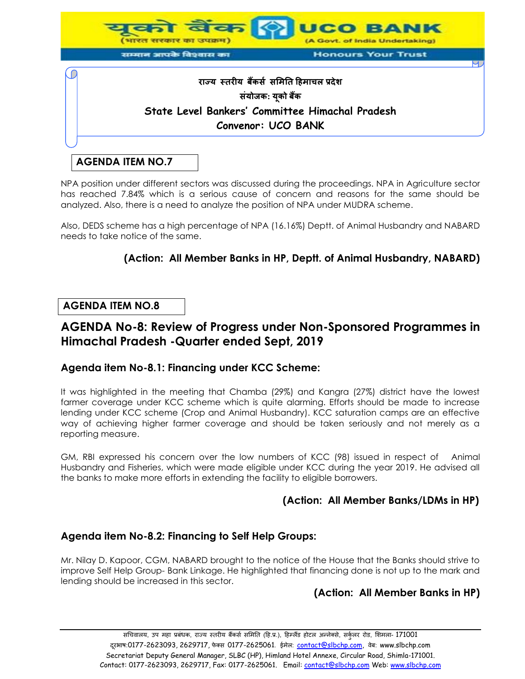

# **AGENDA ITEM NO.7**

NPA position under different sectors was discussed during the proceedings. NPA in Agriculture sector has reached 7.84% which is a serious cause of concern and reasons for the same should be analyzed. Also, there is a need to analyze the position of NPA under MUDRA scheme.

Also, DEDS scheme has a high percentage of NPA (16.16%) Deptt. of Animal Husbandry and NABARD needs to take notice of the same.

# **(Action: All Member Banks in HP, Deptt. of Animal Husbandry, NABARD)**

### **AGENDA ITEM NO.8**

# **AGENDA No-8: Review of Progress under Non-Sponsored Programmes in Himachal Pradesh -Quarter ended Sept, 2019**

### **Agenda item No-8.1: Financing under KCC Scheme:**

It was highlighted in the meeting that Chamba (29%) and Kangra (27%) district have the lowest farmer coverage under KCC scheme which is quite alarming. Efforts should be made to increase lending under KCC scheme (Crop and Animal Husbandry). KCC saturation camps are an effective way of achieving higher farmer coverage and should be taken seriously and not merely as a reporting measure.

GM, RBI expressed his concern over the low numbers of KCC (98) issued in respect of Animal Husbandry and Fisheries, which were made eligible under KCC during the year 2019. He advised all the banks to make more efforts in extending the facility to eligible borrowers.

## **(Action: All Member Banks/LDMs in HP)**

### **Agenda item No-8.2: Financing to Self Help Groups:**

Mr. Nilay D. Kapoor, CGM, NABARD brought to the notice of the House that the Banks should strive to improve Self Help Group- Bank Linkage. He highlighted that financing done is not up to the mark and lending should be increased in this sector.

## **(Action: All Member Banks in HP)**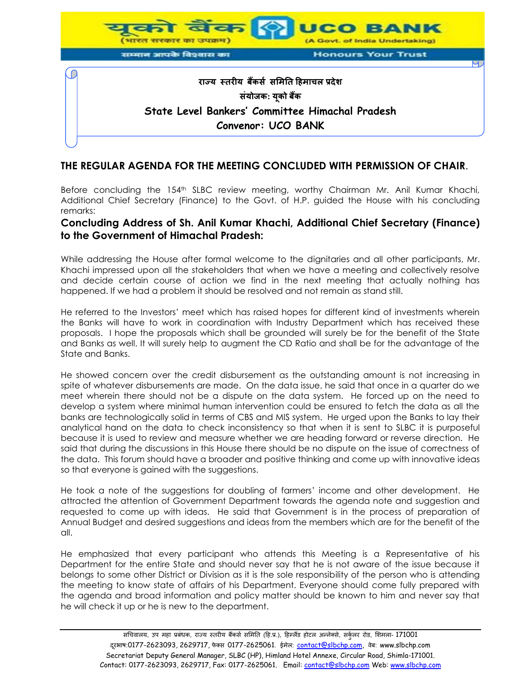

## **THE REGULAR AGENDA FOR THE MEETING CONCLUDED WITH PERMISSION OF CHAIR**.

Before concluding the 154<sup>th</sup> SLBC review meeting, worthy Chairman Mr. Anil Kumar Khachi, Additional Chief Secretary (Finance) to the Govt. of H.P. guided the House with his concluding remarks:

### **Concluding Address of Sh. Anil Kumar Khachi, Additional Chief Secretary (Finance) to the Government of Himachal Pradesh:**

While addressing the House after formal welcome to the dignitaries and all other participants, Mr. Khachi impressed upon all the stakeholders that when we have a meeting and collectively resolve and decide certain course of action we find in the next meeting that actually nothing has happened. If we had a problem it should be resolved and not remain as stand still.

He referred to the Investors' meet which has raised hopes for different kind of investments wherein the Banks will have to work in coordination with Industry Department which has received these proposals. I hope the proposals which shall be grounded will surely be for the benefit of the State and Banks as well. It will surely help to augment the CD Ratio and shall be for the advantage of the State and Banks.

He showed concern over the credit disbursement as the outstanding amount is not increasing in spite of whatever disbursements are made. On the data issue, he said that once in a quarter do we meet wherein there should not be a dispute on the data system. He forced up on the need to develop a system where minimal human intervention could be ensured to fetch the data as all the banks are technologically solid in terms of CBS and MIS system. He urged upon the Banks to lay their analytical hand on the data to check inconsistency so that when it is sent to SLBC it is purposeful because it is used to review and measure whether we are heading forward or reverse direction. He said that during the discussions in this House there should be no dispute on the issue of correctness of the data. This forum should have a broader and positive thinking and come up with innovative ideas so that everyone is gained with the suggestions.

He took a note of the suggestions for doubling of farmers' income and other development. He attracted the attention of Government Department towards the agenda note and suggestion and requested to come up with ideas. He said that Government is in the process of preparation of Annual Budget and desired suggestions and ideas from the members which are for the benefit of the all.

He emphasized that every participant who attends this Meeting is a Representative of his Department for the entire State and should never say that he is not aware of the issue because it belongs to some other District or Division as it is the sole responsibility of the person who is attending the meeting to know state of affairs of his Department. Everyone should come fully prepared with the agenda and broad information and policy matter should be known to him and never say that he will check it up or he is new to the department.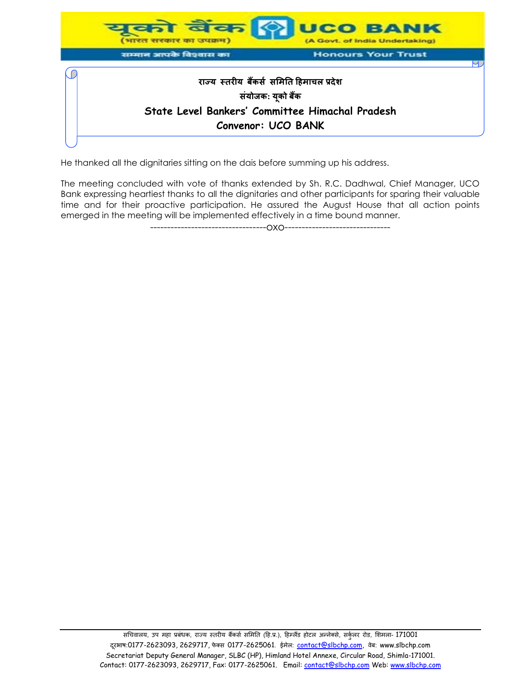

He thanked all the dignitaries sitting on the dais before summing up his address.

The meeting concluded with vote of thanks extended by Sh. R.C. Dadhwal, Chief Manager, UCO Bank expressing heartiest thanks to all the dignitaries and other participants for sparing their valuable time and for their proactive participation. He assured the August House that all action points emerged in the meeting will be implemented effectively in a time bound manner.

----------------------------------oxo-------------------------------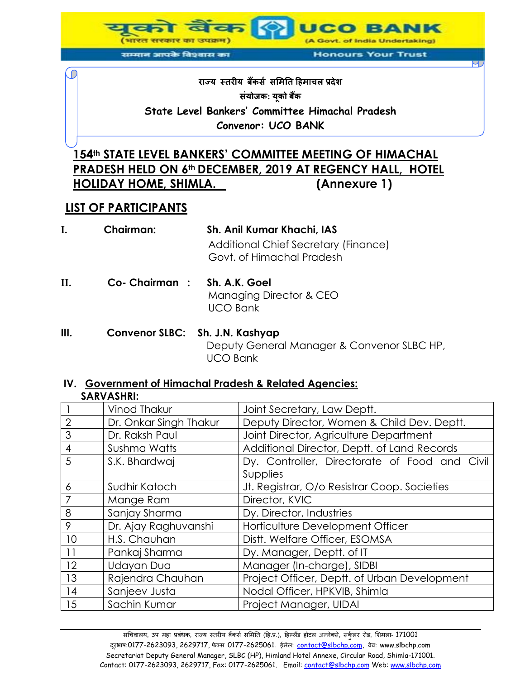**Honours Your Trust** 

**UCO BANK** (A Govt. of India Undertaking)

**राज्य स्तरीय बैंकर्स र्मितत हििाचऱ प्रदेश र्ंयोजक: यूको बैंक State Level Bankers' Committee Himachal Pradesh Convenor: UCO BANK**

# **154th STATE LEVEL BANKERS' COMMITTEE MEETING OF HIMACHAL PRADESH HELD ON 6th DECEMBER, 2019 AT REGENCY HALL, HOTEL HOLIDAY HOME, SHIMLA. (Annexure 1)**

# **LIST OF PARTICIPANTS**

| Chairman: | Sh. Anil Kumar Khachi, IAS                                        |
|-----------|-------------------------------------------------------------------|
|           | Additional Chief Secretary (Finance)<br>Govt. of Himachal Pradesh |

**II. Co- Chairman : Sh. A.K. Goel** Managing Director & CEO UCO Bank

सम्मान आपके विश्वास का

**III. Convenor SLBC: Sh. J.N. Kashyap** Deputy General Manager & Convenor SLBC HP, UCO Bank

# **IV. Government of Himachal Pradesh & Related Agencies:**

 **SARVASHRI:**

|                | Vinod Thakur           | Joint Secretary, Law Deptt.                   |
|----------------|------------------------|-----------------------------------------------|
| $\overline{2}$ | Dr. Onkar Singh Thakur | Deputy Director, Women & Child Dev. Deptt.    |
| 3              | Dr. Raksh Paul         | Joint Director, Agriculture Department        |
| 4              | Sushma Watts           | Additional Director, Deptt. of Land Records   |
| 5              | S.K. Bhardwai          | Dy. Controller, Directorate of Food and Civil |
|                |                        | Supplies                                      |
| 6              | Sudhir Katoch          | Jt. Registrar, O/o Resistrar Coop. Societies  |
|                | Mange Ram              | Director, KVIC                                |
| 8              | Sanjay Sharma          | Dy. Director, Industries                      |
| 9              | Dr. Ajay Raghuvanshi   | Horticulture Development Officer              |
| 10             | H.S. Chauhan           | Distt. Welfare Officer, ESOMSA                |
| 11             | Pankaj Sharma          | Dy. Manager, Deptt. of IT                     |
| 12             | Udayan Dua             | Manager (In-charge), SIDBI                    |
| 13             | Rajendra Chauhan       | Project Officer, Deptt. of Urban Development  |
| 4              | Sanjeev Justa          | Nodal Officer, HPKVIB, Shimla                 |
| 15             | Sachin Kumar           | Project Manager, UIDAI                        |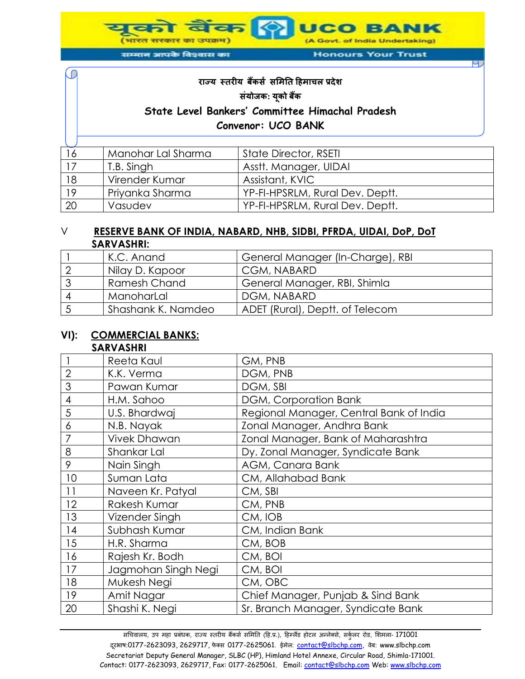(A Govt. of India Undertaking)

**UCO BANK** 

सम्मान आपके विश्वास का

र का उपक्रम)

(भारत सरका

C

**Honours Your Trust** 

# **राज्य स्तरीय बैंकर्स र्मितत हििाचऱ प्रदेश र्ंयोजक: यूको बैंक State Level Bankers' Committee Himachal Pradesh Convenor: UCO BANK**

| 16 | Manohar Lal Sharma | State Director, RSETI           |
|----|--------------------|---------------------------------|
|    | T.B. Singh         | Asstt. Manager, UIDAI           |
| 18 | Virender Kumar     | Assistant, KVIC                 |
| 19 | Priyanka Sharma    | YP-FI-HPSRLM, Rural Dev. Deptt. |
| 20 | Vasudev            | YP-FI-HPSRLM, Rural Dev. Deptt. |

## V **RESERVE BANK OF INDIA, NABARD, NHB, SIDBI, PFRDA, UIDAI, DoP, DoT SARVASHRI:**

| K.C. Anand         | General Manager (In-Charge), RBI |
|--------------------|----------------------------------|
| Nilay D. Kapoor    | CGM, NABARD                      |
| Ramesh Chand       | General Manager, RBI, Shimla     |
| ManoharLal         | DGM, NABARD                      |
| Shashank K. Namdeo | ADET (Rural), Deptt. of Telecom  |

# **VI): COMMERCIAL BANKS:**

### **SARVASHRI**

|                | Reeta Kaul          | GM, PNB                                 |
|----------------|---------------------|-----------------------------------------|
| $\overline{2}$ | K.K. Verma          | DGM, PNB                                |
| 3              | Pawan Kumar         | DGM, SBI                                |
| $\overline{4}$ | H.M. Sahoo          | DGM, Corporation Bank                   |
| 5              | U.S. Bhardwaj       | Regional Manager, Central Bank of India |
| 6              | N.B. Nayak          | Zonal Manager, Andhra Bank              |
| 7              | <b>Vivek Dhawan</b> | Zonal Manager, Bank of Maharashtra      |
| 8              | Shankar Lal         | Dy. Zonal Manager, Syndicate Bank       |
| 9              | Nain Singh          | AGM, Canara Bank                        |
| 10             | Suman Lata          | CM, Allahabad Bank                      |
| 11             | Naveen Kr. Patyal   | CM, SBI                                 |
| 12             | Rakesh Kumar        | CM, PNB                                 |
| 13             | Vizender Singh      | CM, IOB                                 |
| 14             | Subhash Kumar       | CM, Indian Bank                         |
| 15             | H.R. Sharma         | CM, BOB                                 |
| 16             | Rajesh Kr. Bodh     | CM, BOI                                 |
| 17             | Jagmohan Singh Negi | CM, BOI                                 |
| 18             | Mukesh Negi         | CM, OBC                                 |
| 19             | Amit Nagar          | Chief Manager, Punjab & Sind Bank       |
| 20             | Shashi K. Negi      | Sr. Branch Manager, Syndicate Bank      |

सचिवालय, उप महा प्रबंधक, राज्य स्तरीय बैंकर्स समिति (हि.प्र.), हिम्लैंड होटल अन्नेक्से, सर्कुलर रोड, शिमला- 171001 दूरभाष:0177-2623093, 2629717, फेक्स 0177-2625061. ईमेल: contact@slbchp.com, वेब: www.slbchp.com Secretariat Deputy General Manager, SLBC (HP), Himland Hotel Annexe, Circular Road, Shimla-171001. Contact: 0177-2623093, 2629717, Fax: 0177-2625061. Email: contact@slbchp.com Web: www.slbchp.com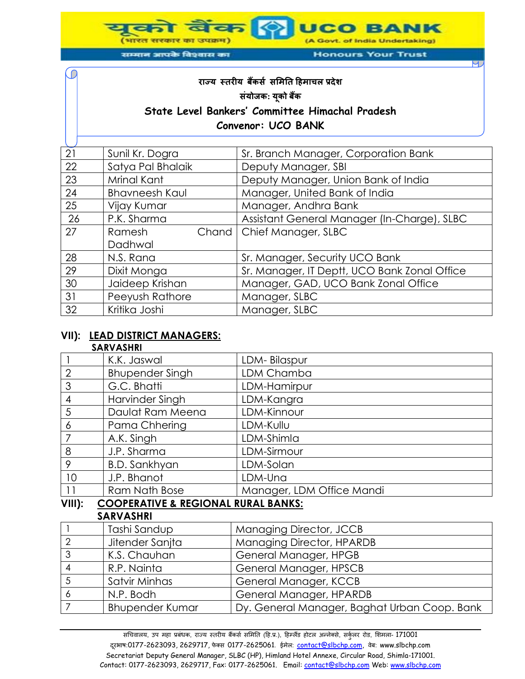(A Govt. of India Undertaking)

**UCO BANK** 

(भारत सरकार का उपक्रम) सम्मान आपके विश्वास का

**Honours Your Trust** 

# **राज्य स्तरीय बैंकर्स र्मितत हििाचऱ प्रदेश र्ंयोजक: यूको बैंक State Level Bankers' Committee Himachal Pradesh Convenor: UCO BANK**

| 21 | Sunil Kr. Dogra       | Sr. Branch Manager, Corporation Bank         |
|----|-----------------------|----------------------------------------------|
| 22 | Satya Pal Bhalaik     | Deputy Manager, SBI                          |
| 23 | Mrinal Kant           | Deputy Manager, Union Bank of India          |
| 24 | <b>Bhavneesh Kaul</b> | Manager, United Bank of India                |
| 25 | Vijay Kumar           | Manager, Andhra Bank                         |
| 26 | P.K. Sharma           | Assistant General Manager (In-Charge), SLBC  |
| 27 | Ramesh<br>Chand       | Chief Manager, SLBC                          |
|    | Dadhwal               |                                              |
| 28 | N.S. Rana             | Sr. Manager, Security UCO Bank               |
| 29 | Dixit Monga           | Sr. Manager, IT Deptt, UCO Bank Zonal Office |
| 30 | Jaideep Krishan       | Manager, GAD, UCO Bank Zonal Office          |
| 31 | Peeyush Rathore       | Manager, SLBC                                |
| 32 | Kritika Joshi         | Manager, SLBC                                |

## **VII): LEAD DISTRICT MANAGERS:**

#### **SARVASHRI**

C

|                | K.K. Jaswal            | LDM-Bilaspur              |
|----------------|------------------------|---------------------------|
| $\overline{2}$ | <b>Bhupender Singh</b> | LDM Chamba                |
| 3              | G.C. Bhatti            | LDM-Hamirpur              |
| 4              | Harvinder Singh        | LDM-Kangra                |
| 5              | Daulat Ram Meena       | LDM-Kinnour               |
| 6              | Pama Chhering          | LDM-Kullu                 |
|                | A.K. Singh             | LDM-Shimla                |
| 8              | J.P. Sharma            | LDM-Sirmour               |
| 9              | <b>B.D.</b> Sankhyan   | LDM-Solan                 |
| 10             | J.P. Bhanot            | LDM-Una                   |
| 11             | Ram Nath Bose          | Manager, LDM Office Mandi |

## **VIII): COOPERATIVE & REGIONAL RURAL BANKS:**

**SARVASHRI**

|                | Tashi Sandup           | <b>Managing Director, JCCB</b>               |
|----------------|------------------------|----------------------------------------------|
| $\overline{2}$ | Jitender Sanjta        | <b>Managing Director, HPARDB</b>             |
| $\mathcal{S}$  | K.S. Chauhan           | General Manager, HPGB                        |
| $\overline{4}$ | R.P. Nainta            | General Manager, HPSCB                       |
|                | Satvir Minhas          | General Manager, KCCB                        |
| 6              | N.P. Bodh              | General Manager, HPARDB                      |
|                | <b>Bhupender Kumar</b> | Dy. General Manager, Baghat Urban Coop. Bank |
|                |                        |                                              |